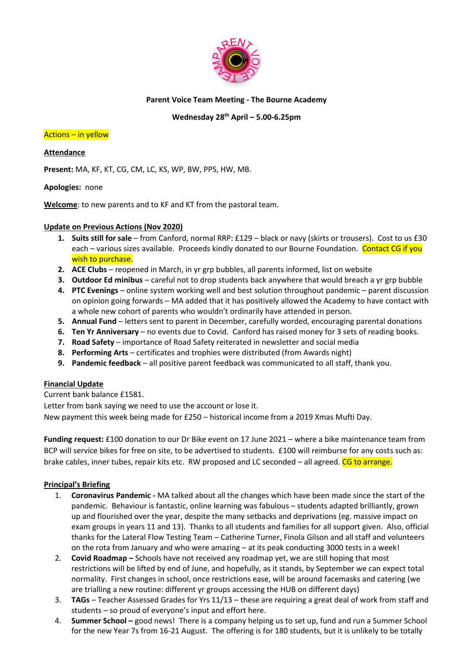

# **Parent Voice Team Meeting - The Bourne Academy**

# **Wednesday 28th April – 5.00-6.25pm**

### Actions – in yellow

**Attendance**

**Present:** MA, KF, KT, CG, CM, LC, KS, WP, BW, PPS, HW, MB.

**Apologies:** none

**Welcome**: to new parents and to KF and KT from the pastoral team.

## **Update on Previous Actions (Nov 2020)**

- **1. Suits still for sale**  from Canford, normal RRP: £129 black or navy (skirts or trousers). Cost to us £30 each – various sizes available. Proceeds kindly donated to our Bourne Foundation. Contact CG if you wish to purchase.
- **2. ACE Clubs**  reopened in March, in yr grp bubbles, all parents informed, list on website
- **3. Outdoor Ed minibus**  careful not to drop students back anywhere that would breach a yr grp bubble
- **4. PTC Evenings**  online system working well and best solution throughout pandemic parent discussion on opinion going forwards – MA added that it has positively allowed the Academy to have contact with a whole new cohort of parents who wouldn't ordinarily have attended in person.
- **5. Annual Fund**  letters sent to parent in December, carefully worded, encouraging parental donations
- **6. Ten Yr Anniversary**  no events due to Covid. Canford has raised money for 3 sets of reading books.
- **7. Road Safety**  importance of Road Safety reiterated in newsletter and social media
- **8. Performing Arts**  certificates and trophies were distributed (from Awards night)
- **9. Pandemic feedback**  all positive parent feedback was communicated to all staff, thank you.

## **Financial Update**

Current bank balance £1581.

Letter from bank saying we need to use the account or lose it.

New payment this week being made for £250 – historical income from a 2019 Xmas Mufti Day.

**Funding request:** £100 donation to our Dr Bike event on 17 June 2021 – where a bike maintenance team from BCP will service bikes for free on site, to be advertised to students. £100 will reimburse for any costs such as: brake cables, inner tubes, repair kits etc. RW proposed and LC seconded – all agreed. CG to arrange.

## **Principal's Briefing**

- 1. **Coronavirus Pandemic -** MA talked about all the changes which have been made since the start of the pandemic. Behaviour is fantastic, online learning was fabulous – students adapted brilliantly, grown up and flourished over the year, despite the many setbacks and deprivations (eg. massive impact on exam groups in years 11 and 13). Thanks to all students and families for all support given. Also, official thanks for the Lateral Flow Testing Team – Catherine Turner, Finola Gilson and all staff and volunteers on the rota from January and who were amazing – at its peak conducting 3000 tests in a week!
- 2. **Covid Roadmap –** Schools have not received any roadmap yet, we are still hoping that most restrictions will be lifted by end of June, and hopefully, as it stands, by September we can expect total normality. First changes in school, once restrictions ease, will be around facemasks and catering (we are trialling a new routine: different yr groups accessing the HUB on different days)
- 3. **TAGs**  Teacher Assessed Grades for Yrs 11/13 these are requiring a great deal of work from staff and students – so proud of everyone's input and effort here.
- 4. **Summer School –** good news! There is a company helping us to set up, fund and run a Summer School for the new Year 7s from 16-21 August. The offering is for 180 students, but it is unlikely to be totally